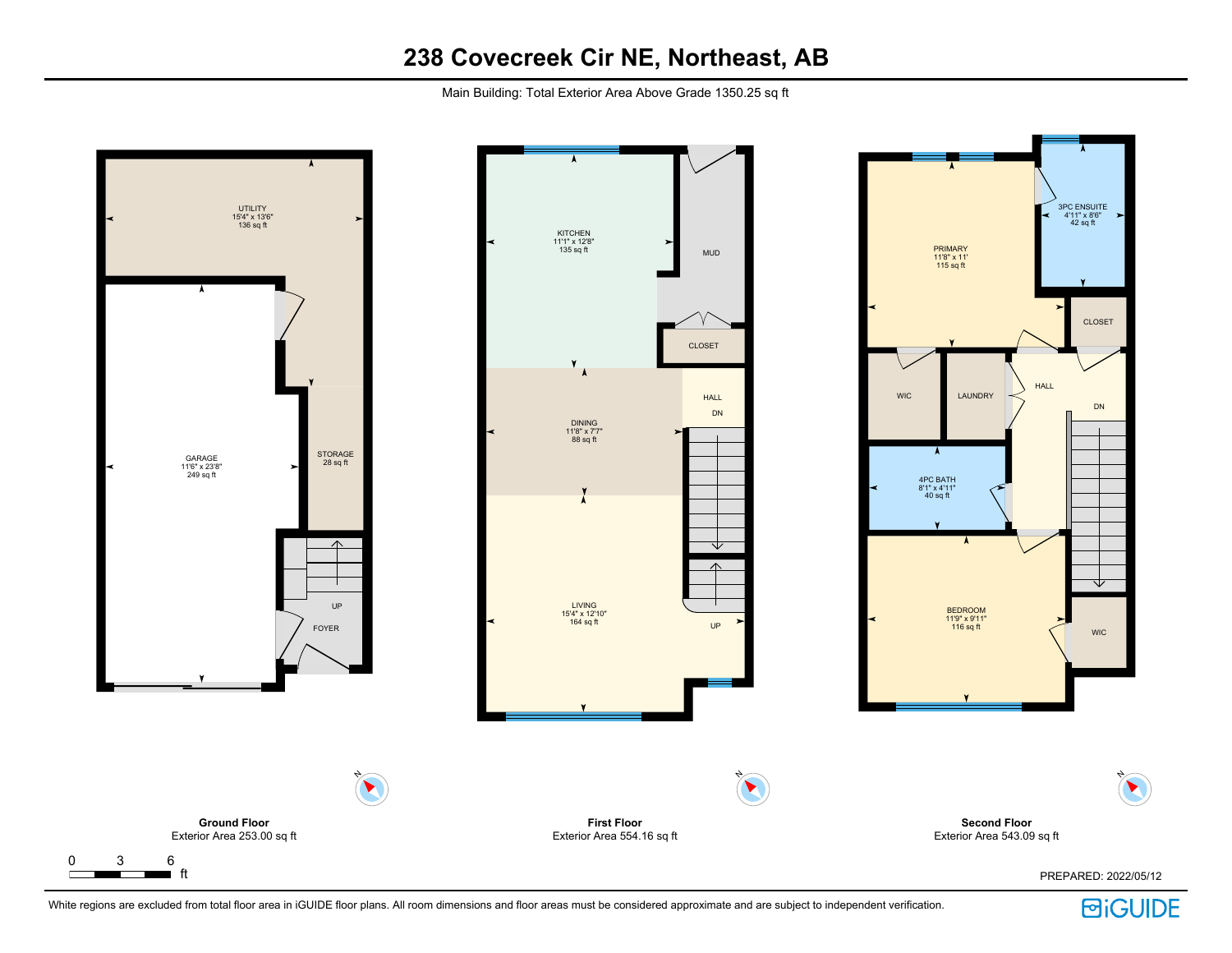Main Building: Total Exterior Area Above Grade 1350.25 sq ft



 $\Gamma$ 

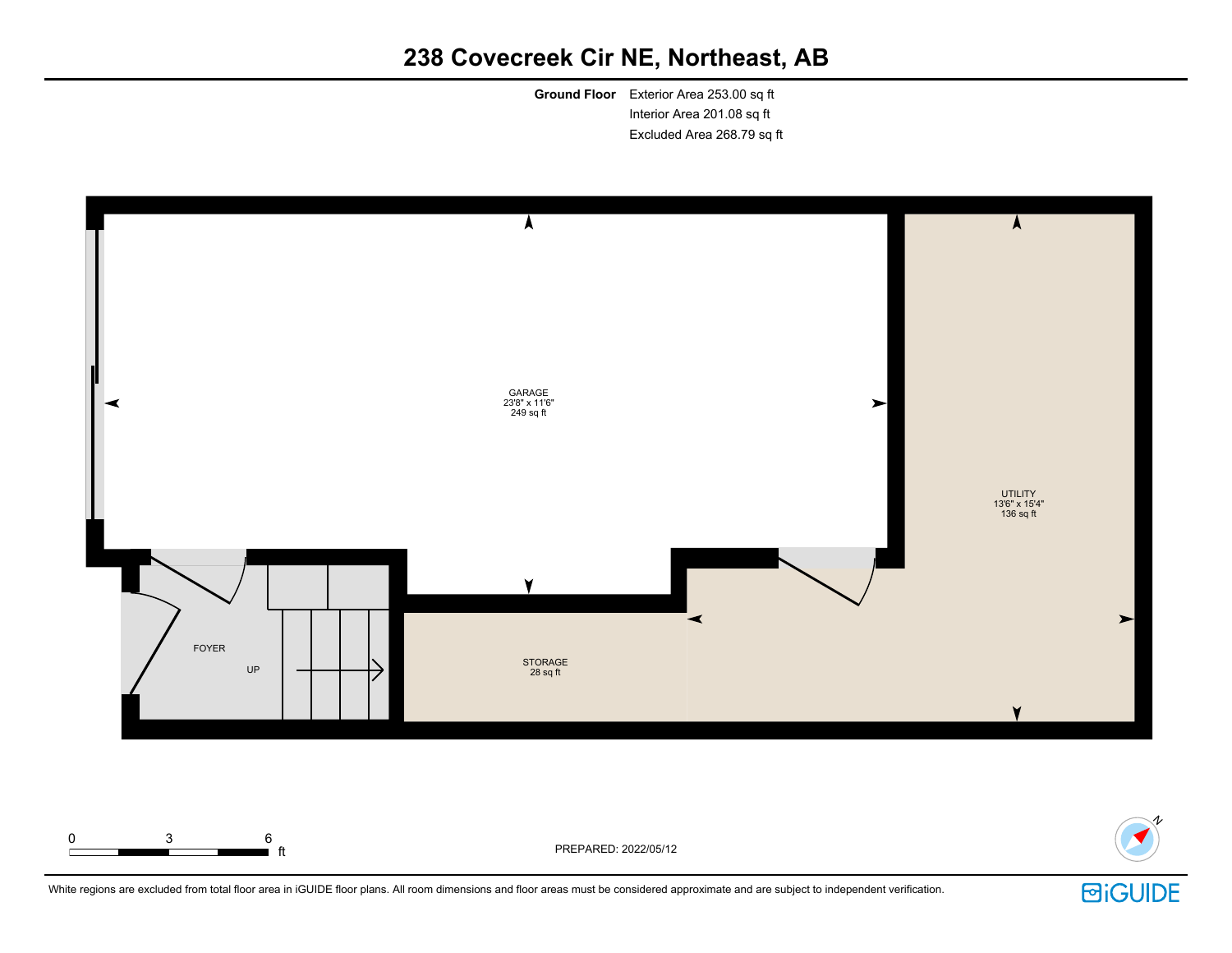**Ground Floor** Exterior Area 253.00 sq ft Interior Area 201.08 sq ft Excluded Area 268.79 sq ft





White regions are excluded from total floor area in iGUIDE floor plans. All room dimensions and floor areas must be considered approximate and are subject to independent verification.

 $\blacksquare$  ft  $\blacksquare$  ft  $\blacksquare$ 

0 3 6

**回iGUIDE**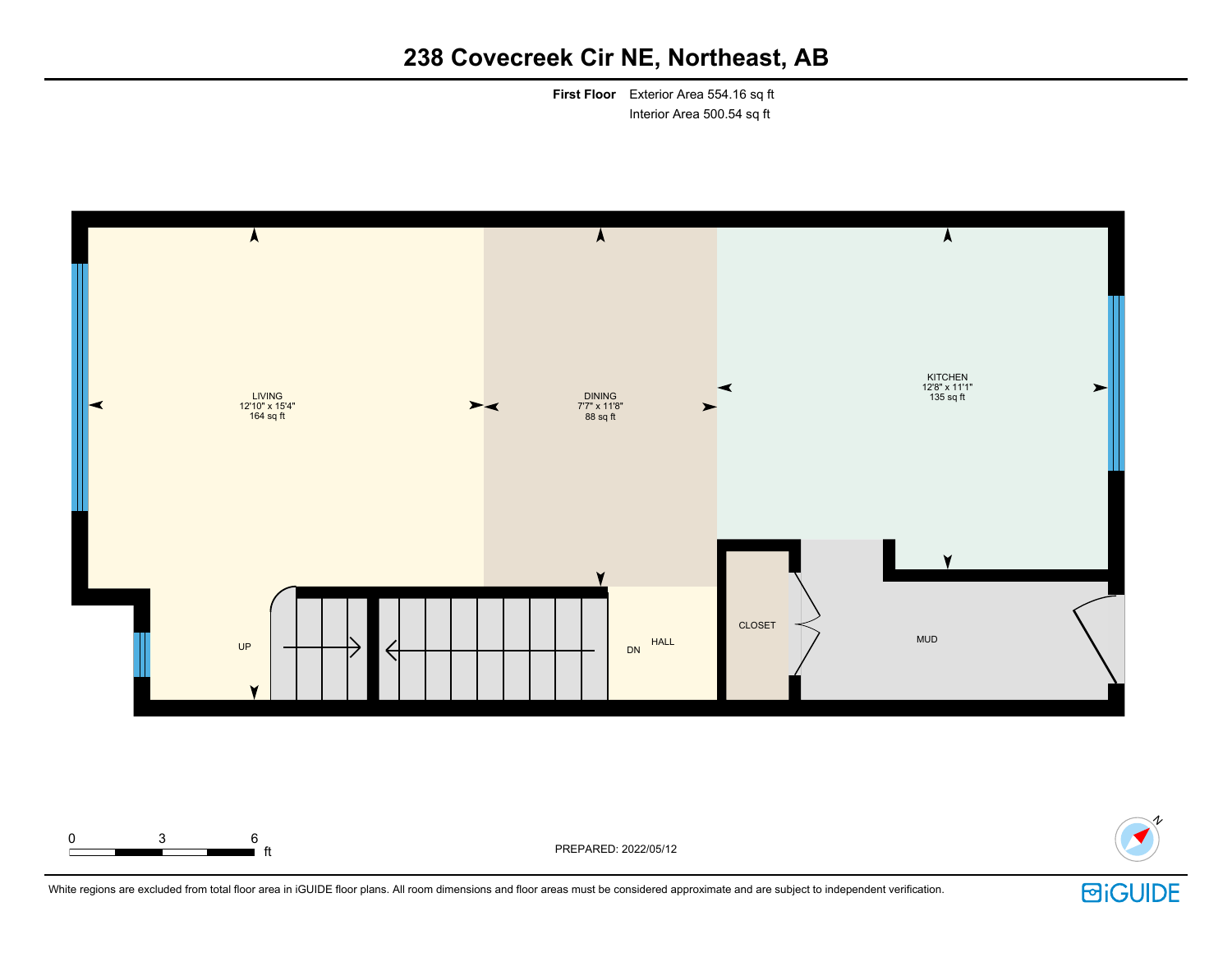**First Floor** Exterior Area 554.16 sq ft Interior Area 500.54 sq ft





White regions are excluded from total floor area in iGUIDE floor plans. All room dimensions and floor areas must be considered approximate and are subject to independent verification.

ft PREPARED: 2022/05/12

0 3 6

**回iGUIDE**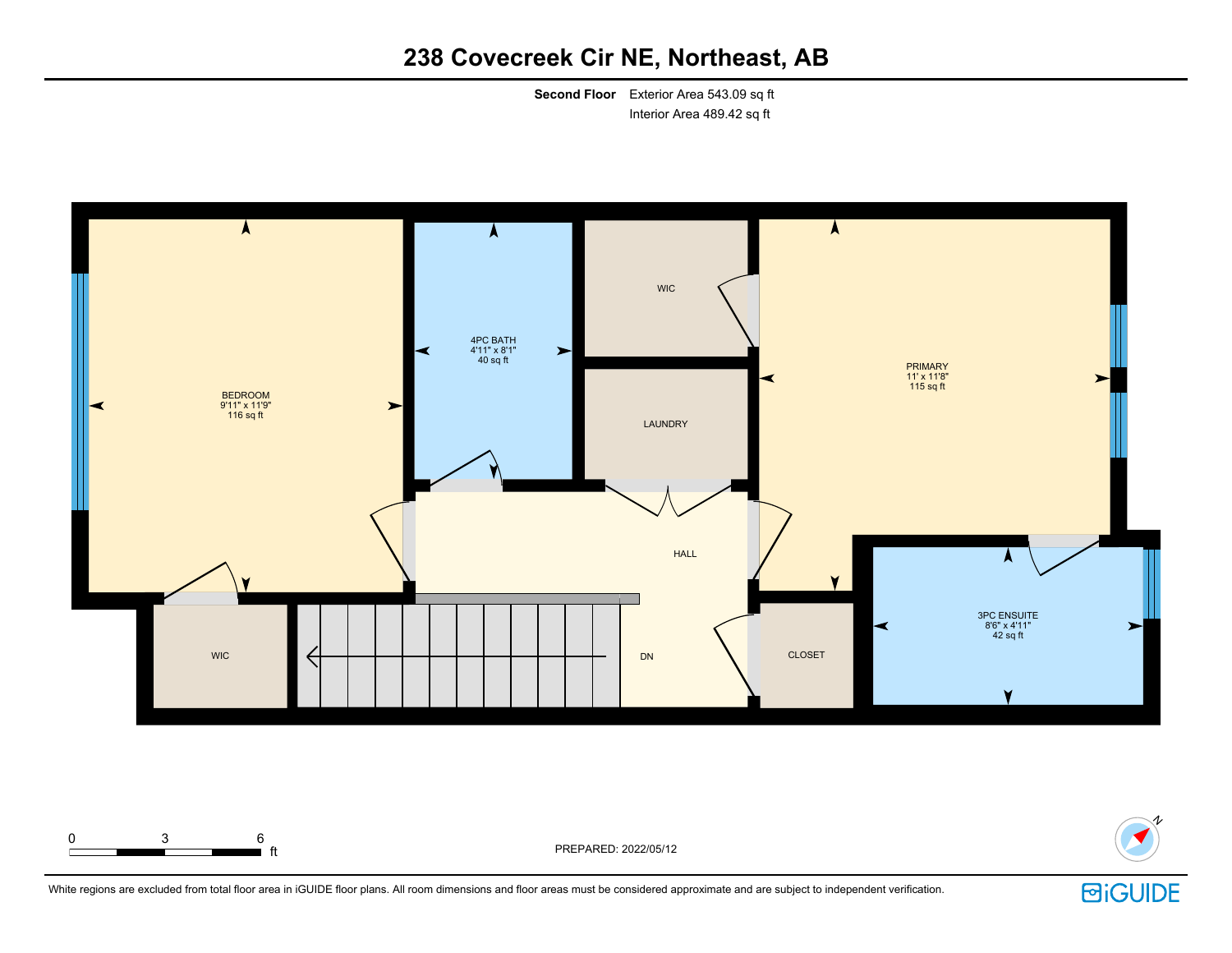**Second Floor** Exterior Area 543.09 sq ft Interior Area 489.42 sq ft





White regions are excluded from total floor area in iGUIDE floor plans. All room dimensions and floor areas must be considered approximate and are subject to independent verification.

 $\blacksquare$  ft  $\blacksquare$  ft  $\blacksquare$ 

0 3 6

**回iGUIDE**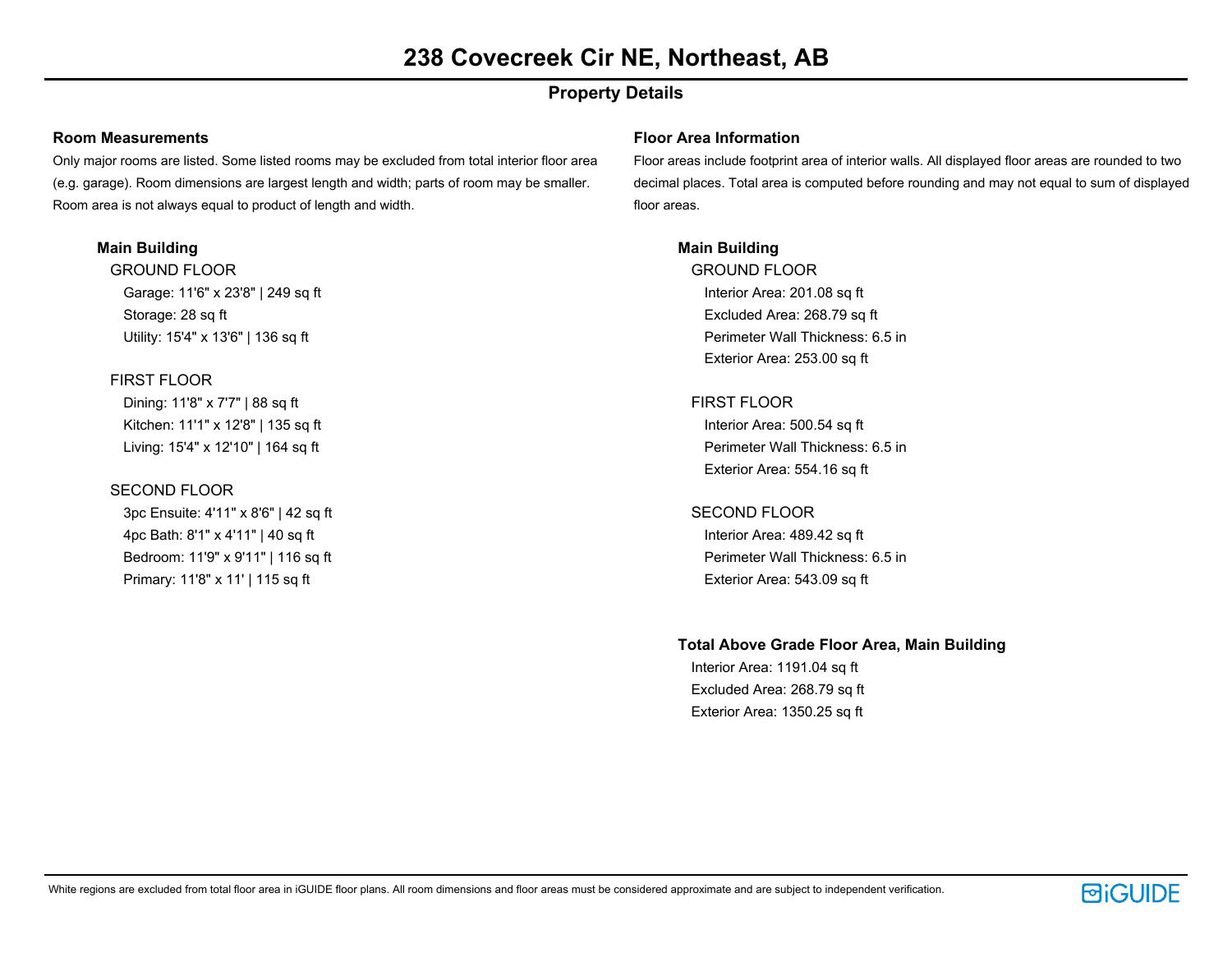## **Property Details**

#### **Room Measurements**

Only major rooms are listed. Some listed rooms may be excluded from total interior floor area (e.g. garage). Room dimensions are largest length and width; parts of room may be smaller. Room area is not always equal to product of length and width.

### **Main Building**

GROUND FLOOR Garage: 11'6" x 23'8" | 249 sq ft Storage: 28 sq ft Utility: 15'4" x 13'6" | 136 sq ft

### FIRST FLOOR

Dining: 11'8" x 7'7" | 88 sq ft Kitchen: 11'1" x 12'8" | 135 sq ft Living: 15'4" x 12'10" | 164 sq ft

### SECOND FLOOR

3pc Ensuite: 4'11" x 8'6" | 42 sq ft 4pc Bath: 8'1" x 4'11" | 40 sq ft Bedroom: 11'9" x 9'11" | 116 sq ft Primary: 11'8" x 11' | 115 sq ft

#### **Floor Area Information**

Floor areas include footprint area of interior walls. All displayed floor areas are rounded to two decimal places. Total area is computed before rounding and may not equal to sum of displayed floor areas.

### **Main Building**

GROUND FLOOR Interior Area: 201.08 sq ft Excluded Area: 268.79 sq ft Perimeter Wall Thickness: 6.5 in Exterior Area: 253.00 sq ft

### FIRST FLOOR

Interior Area: 500.54 sq ft Perimeter Wall Thickness: 6.5 in Exterior Area: 554.16 sq ft

#### SECOND FLOOR

Interior Area: 489.42 sq ft Perimeter Wall Thickness: 6.5 in Exterior Area: 543.09 sq ft

### **Total Above Grade Floor Area, Main Building**

Interior Area: 1191.04 sq ft Excluded Area: 268.79 sq ft Exterior Area: 1350.25 sq ft

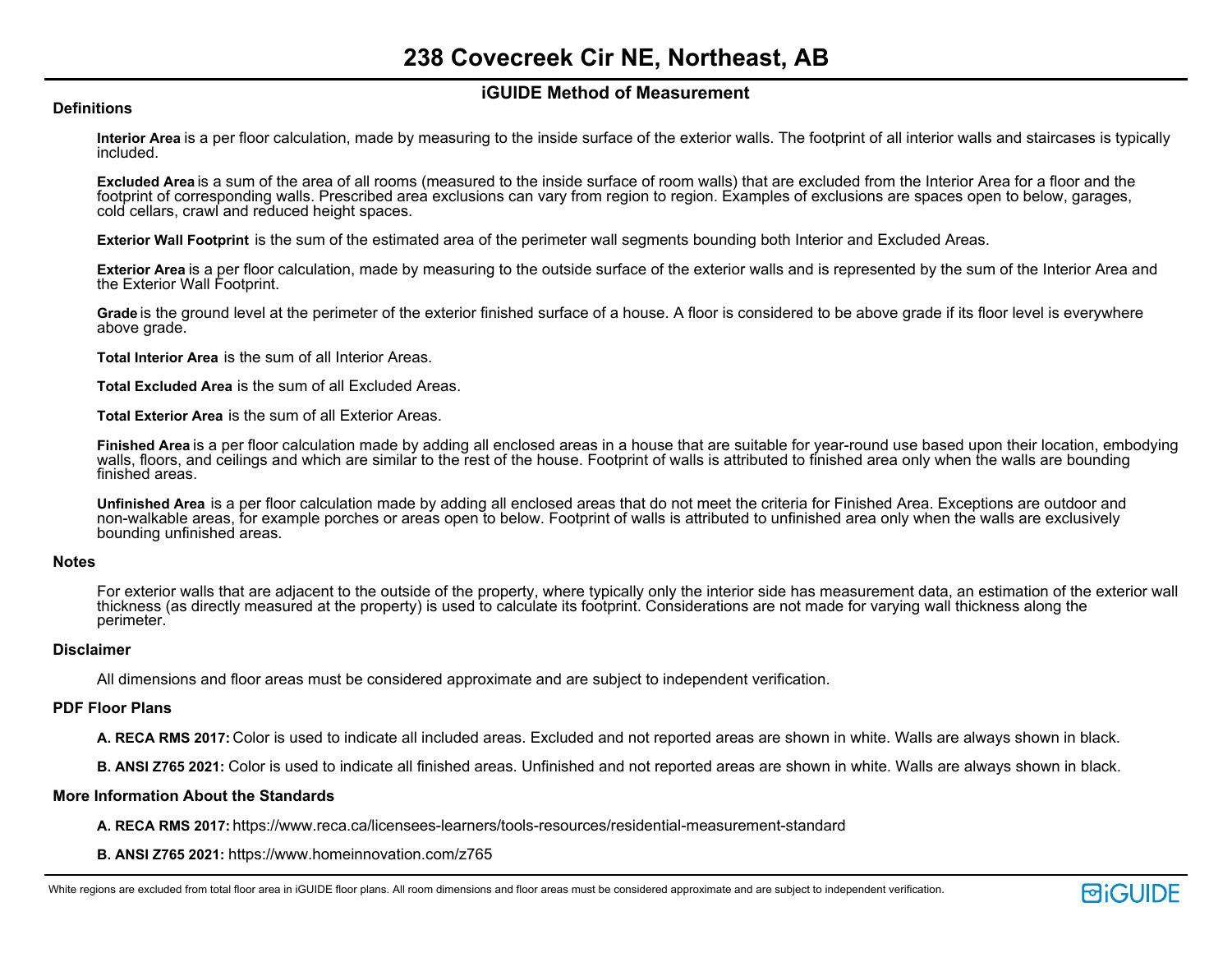### **iGUIDE Method of Measurement**

#### **Definitions**

**Interior Area** is a per floor calculation, made by measuring to the inside surface of the exterior walls. The footprint of all interior walls and staircases is typically included.

**Excluded Area** is a sum of the area of all rooms (measured to the inside surface of room walls) that are excluded from the Interior Area for a floor and the footprint of corresponding walls. Prescribed area exclusions can vary from region to region. Examples of exclusions are spaces open to below, garages, cold cellars, crawl and reduced height spaces.

**Exterior Wall Footprint** is the sum of the estimated area of the perimeter wall segments bounding both Interior and Excluded Areas.

**Exterior Area** is a per floor calculation, made by measuring to the outside surface of the exterior walls and is represented by the sum of the Interior Area and the Exterior Wall Footprint.

**Grade** is the ground level at the perimeter of the exterior finished surface of a house. A floor is considered to be above grade if its floor level is everywhere above grade.

**Total Interior Area** is the sum of all Interior Areas.

**Total Excluded Area** is the sum of all Excluded Areas.

**Total Exterior Area** is the sum of all Exterior Areas.

**Finished Area** is a per floor calculation made by adding all enclosed areas in a house that are suitable for year-round use based upon their location, embodying walls, floors, and ceilings and which are similar to the rest of the house. Footprint of walls is attributed to finished area only when the walls are bounding finished areas.

**Unfinished Area** is a per floor calculation made by adding all enclosed areas that do not meet the criteria for Finished Area. Exceptions are outdoor and non-walkable areas, for example porches or areas open to below. Footprint of walls is attributed to unfinished area only when the walls are exclusively bounding unfinished areas.

#### **Notes**

For exterior walls that are adjacent to the outside of the property, where typically only the interior side has measurement data, an estimation of the exterior wall thickness (as directly measured at the property) is used to calculate its footprint. Considerations are not made for varying wall thickness along the perimeter.

#### **Disclaimer**

All dimensions and floor areas must be considered approximate and are subject to independent verification.

#### **PDF Floor Plans**

**A. RECA RMS 2017:** Color is used to indicate all included areas. Excluded and not reported areas are shown in white. Walls are always shown in black.

**B. ANSI Z765 2021:** Color is used to indicate all finished areas. Unfinished and not reported areas are shown in white. Walls are always shown in black.

#### **More Information About the Standards**

**A. RECA RMS 2017:** https://www.reca.ca/licensees-learners/tools-resources/residential-measurement-standard

**B. ANSI Z765 2021:** https://www.homeinnovation.com/z765

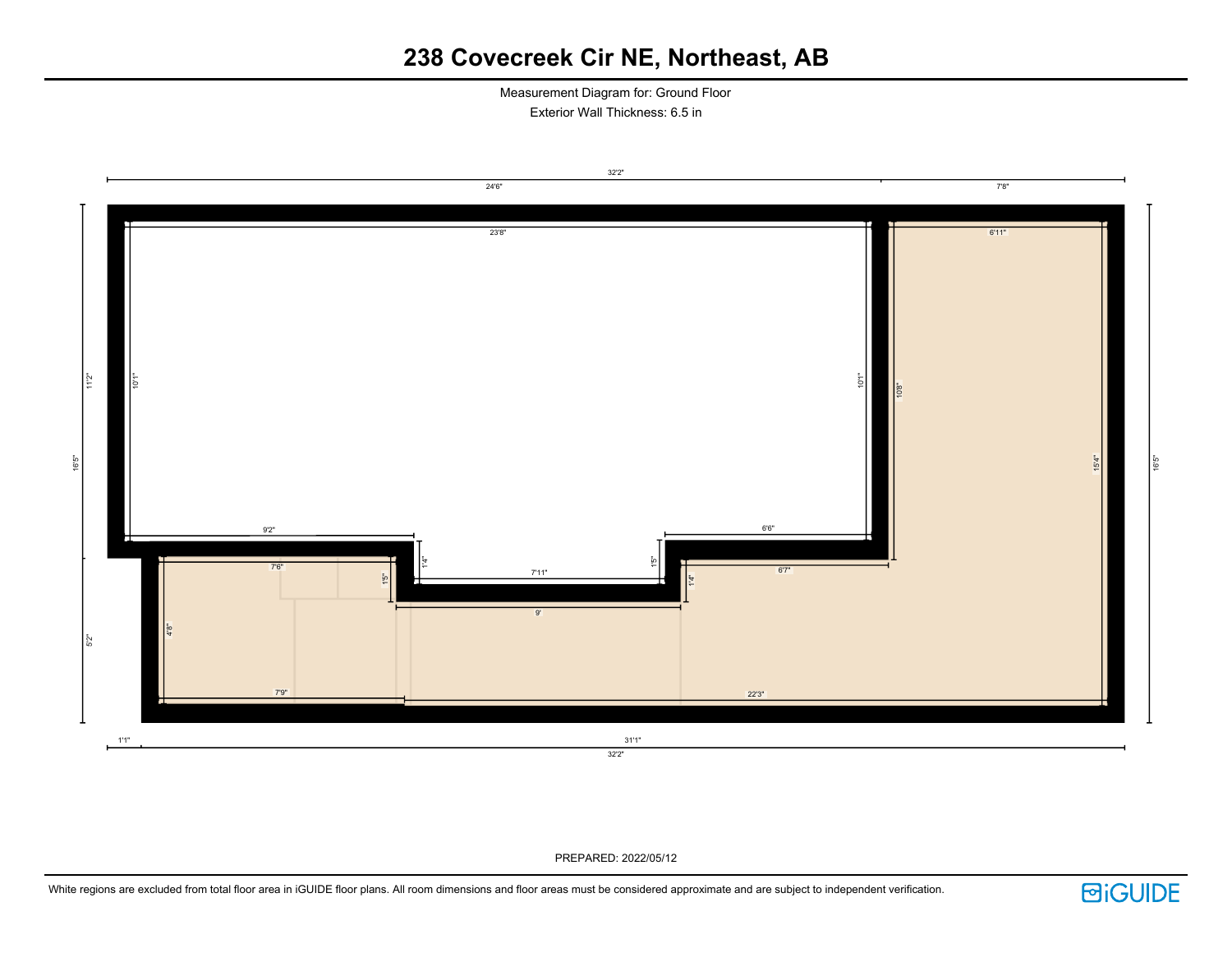Measurement Diagram for: Ground Floor Exterior Wall Thickness: 6.5 in



PREPARED: 2022/05/12

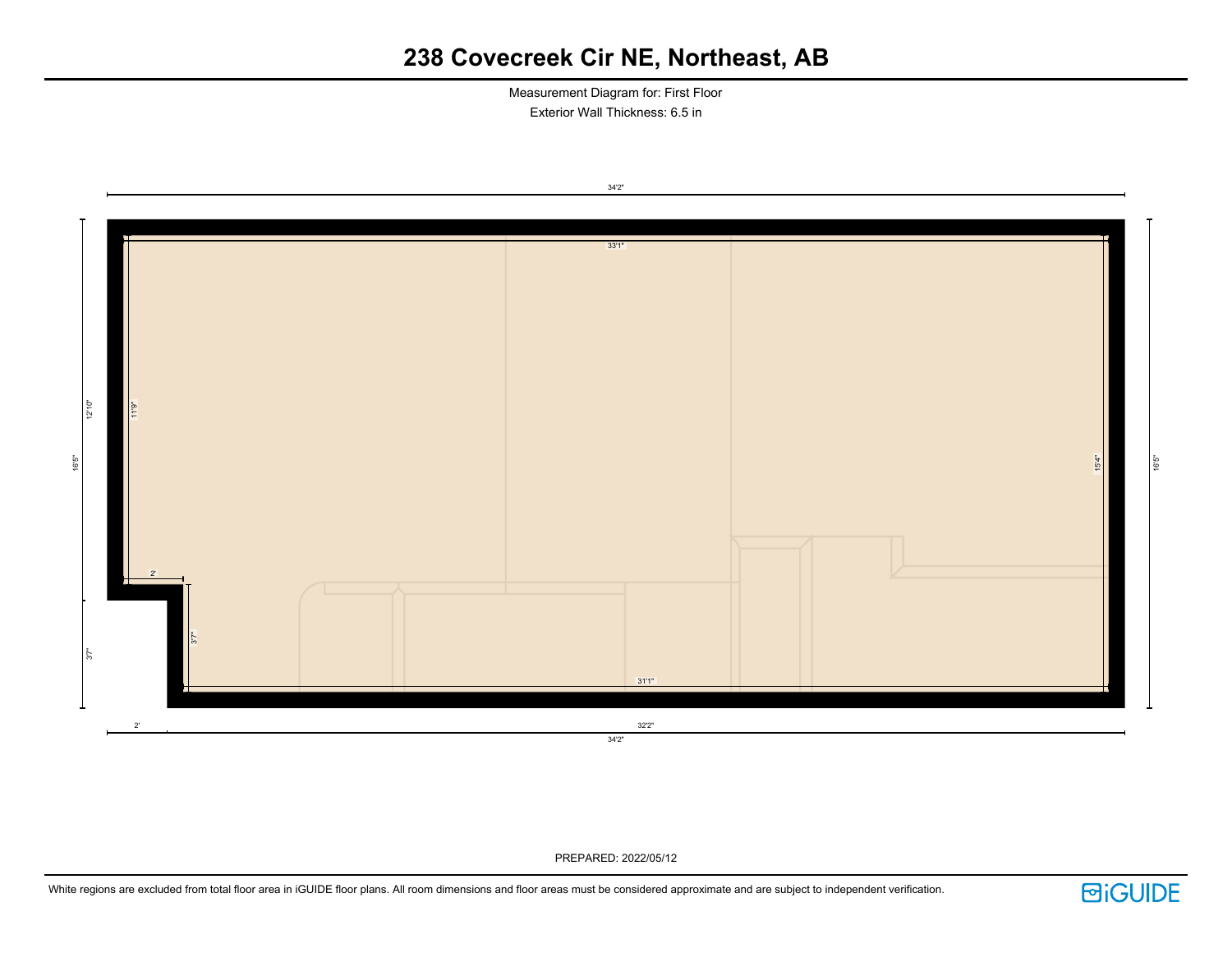Measurement Diagram for: First Floor Exterior Wall Thickness: 6.5 in



PREPARED: 2022/05/12